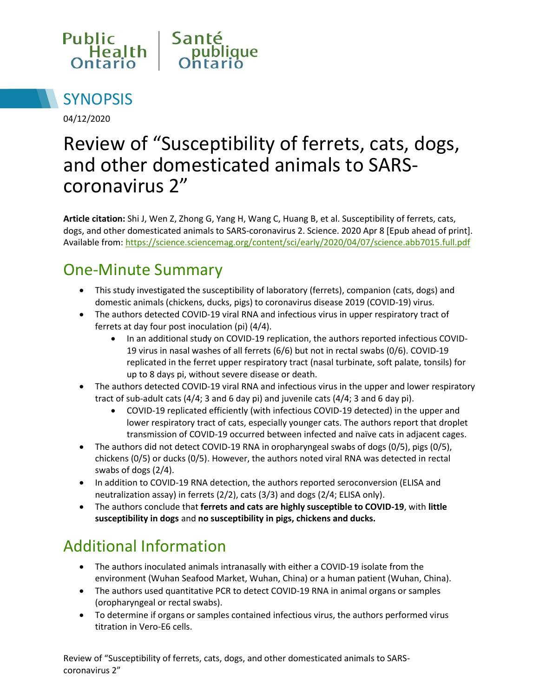



04/12/2020

# Review of "Susceptibility of ferrets, cats, dogs, and other domesticated animals to SARScoronavirus 2"

**Article citation:** Shi J, Wen Z, Zhong G, Yang H, Wang C, Huang B, et al. Susceptibility of ferrets, cats, dogs, and other domesticated animals to SARS-coronavirus 2. Science. 2020 Apr 8 [Epub ahead of print]. Available from[: https://science.sciencemag.org/content/sci/early/2020/04/07/science.abb7015.full.pdf](https://science.sciencemag.org/content/sci/early/2020/04/07/science.abb7015.full.pdf)

#### One-Minute Summary

- This study investigated the susceptibility of laboratory (ferrets), companion (cats, dogs) and domestic animals (chickens, ducks, pigs) to coronavirus disease 2019 (COVID-19) virus.
- The authors detected COVID-19 viral RNA and infectious virus in upper respiratory tract of ferrets at day four post inoculation (pi) (4/4).
	- In an additional study on COVID-19 replication, the authors reported infectious COVID-19 virus in nasal washes of all ferrets (6/6) but not in rectal swabs (0/6). COVID-19 replicated in the ferret upper respiratory tract (nasal turbinate, soft palate, tonsils) for up to 8 days pi, without severe disease or death.
- The authors detected COVID-19 viral RNA and infectious virus in the upper and lower respiratory tract of sub-adult cats (4/4; 3 and 6 day pi) and juvenile cats (4/4; 3 and 6 day pi).
	- COVID-19 replicated efficiently (with infectious COVID-19 detected) in the upper and lower respiratory tract of cats, especially younger cats. The authors report that droplet transmission of COVID-19 occurred between infected and naïve cats in adjacent cages.
- The authors did not detect COVID-19 RNA in oropharyngeal swabs of dogs (0/5), pigs (0/5), chickens (0/5) or ducks (0/5). However, the authors noted viral RNA was detected in rectal swabs of dogs (2/4).
- In addition to COVID-19 RNA detection, the authors reported seroconversion (ELISA and neutralization assay) in ferrets (2/2), cats (3/3) and dogs (2/4; ELISA only).
- The authors conclude that **ferrets and cats are highly susceptible to COVID-19**, with **little susceptibility in dogs** and **no susceptibility in pigs, chickens and ducks.**

## Additional Information

- The authors inoculated animals intranasally with either a COVID-19 isolate from the environment (Wuhan Seafood Market, Wuhan, China) or a human patient (Wuhan, China).
- The authors used quantitative PCR to detect COVID-19 RNA in animal organs or samples (oropharyngeal or rectal swabs).
- To determine if organs or samples contained infectious virus, the authors performed virus titration in Vero-E6 cells.

Review of "Susceptibility of ferrets, cats, dogs, and other domesticated animals to SARScoronavirus 2"